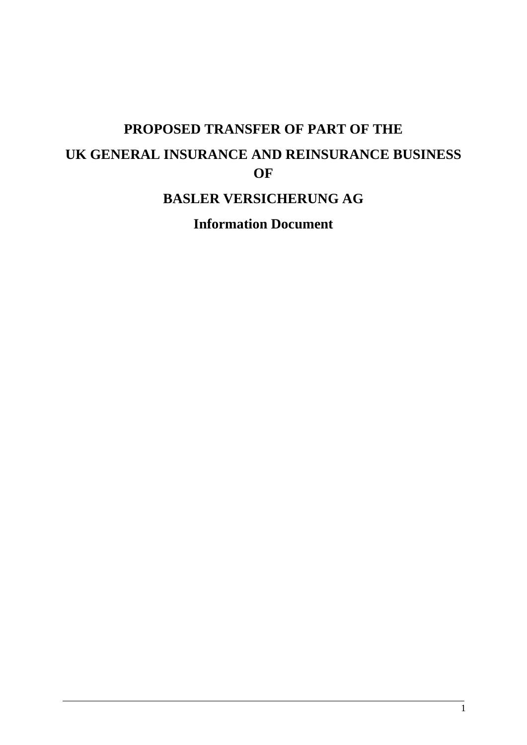# **PROPOSED TRANSFER OF PART OF THE UK GENERAL INSURANCE AND REINSURANCE BUSINESS OF**

## **BASLER VERSICHERUNG AG**

**Information Document**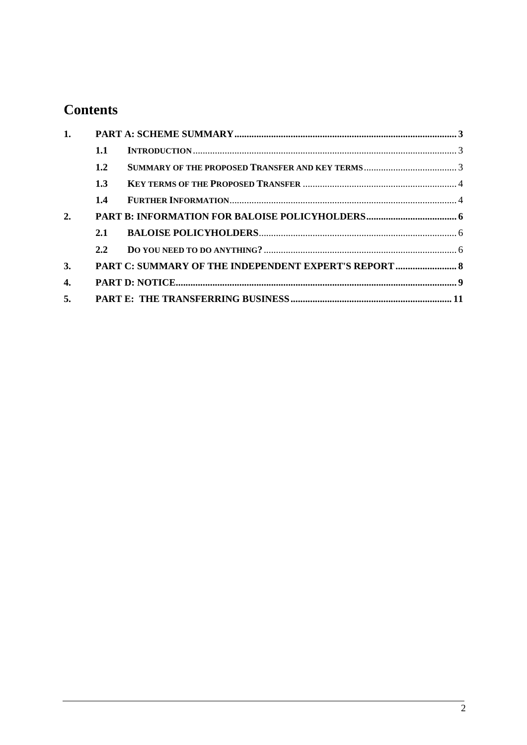## **Contents**

| 1. |     |                                                       |  |
|----|-----|-------------------------------------------------------|--|
|    | 1.1 |                                                       |  |
|    | 1.2 |                                                       |  |
|    | 1.3 |                                                       |  |
|    | 1.4 |                                                       |  |
| 2. |     |                                                       |  |
|    | 2.1 |                                                       |  |
|    | 2.2 |                                                       |  |
| 3. |     | PART C: SUMMARY OF THE INDEPENDENT EXPERT'S REPORT  8 |  |
| 4. |     |                                                       |  |
| 5. |     |                                                       |  |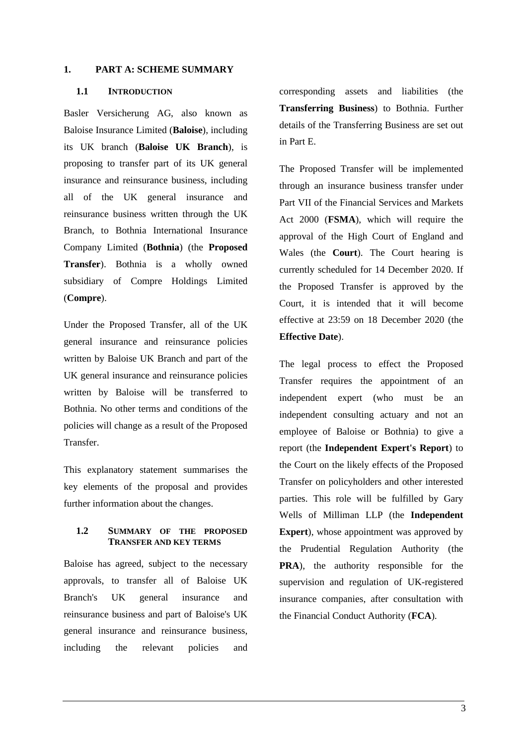### <span id="page-2-0"></span>**1. PART A: SCHEME SUMMARY**

## <span id="page-2-1"></span>**1.1 INTRODUCTION**

Basler Versicherung AG, also known as Baloise Insurance Limited (**Baloise**), including its UK branch (**Baloise UK Branch**), is proposing to transfer part of its UK general insurance and reinsurance business, including all of the UK general insurance and reinsurance business written through the UK Branch, to Bothnia International Insurance Company Limited (**Bothnia**) (the **Proposed Transfer**). Bothnia is a wholly owned subsidiary of Compre Holdings Limited (**Compre**).

Under the Proposed Transfer, all of the UK general insurance and reinsurance policies written by Baloise UK Branch and part of the UK general insurance and reinsurance policies written by Baloise will be transferred to Bothnia. No other terms and conditions of the policies will change as a result of the Proposed **Transfer** 

This explanatory statement summarises the key elements of the proposal and provides further information about the changes.

## <span id="page-2-2"></span>**1.2 SUMMARY OF THE PROPOSED TRANSFER AND KEY TERMS**

Baloise has agreed, subject to the necessary approvals, to transfer all of Baloise UK Branch's UK general insurance and reinsurance business and part of Baloise's UK general insurance and reinsurance business, including the relevant policies and

corresponding assets and liabilities (the **Transferring Business**) to Bothnia. Further details of the Transferring Business are set out in Part E.

The Proposed Transfer will be implemented through an insurance business transfer under Part VII of the Financial Services and Markets Act 2000 (**FSMA**), which will require the approval of the High Court of England and Wales (the **Court**). The Court hearing is currently scheduled for 14 December 2020. If the Proposed Transfer is approved by the Court, it is intended that it will become effective at 23:59 on 18 December 2020 (the **Effective Date**).

The legal process to effect the Proposed Transfer requires the appointment of an independent expert (who must be an independent consulting actuary and not an employee of Baloise or Bothnia) to give a report (the **Independent Expert's Report**) to the Court on the likely effects of the Proposed Transfer on policyholders and other interested parties. This role will be fulfilled by Gary Wells of Milliman LLP (the **Independent Expert**), whose appointment was approved by the Prudential Regulation Authority (the **PRA**), the authority responsible for the supervision and regulation of UK-registered insurance companies, after consultation with the Financial Conduct Authority (**FCA**).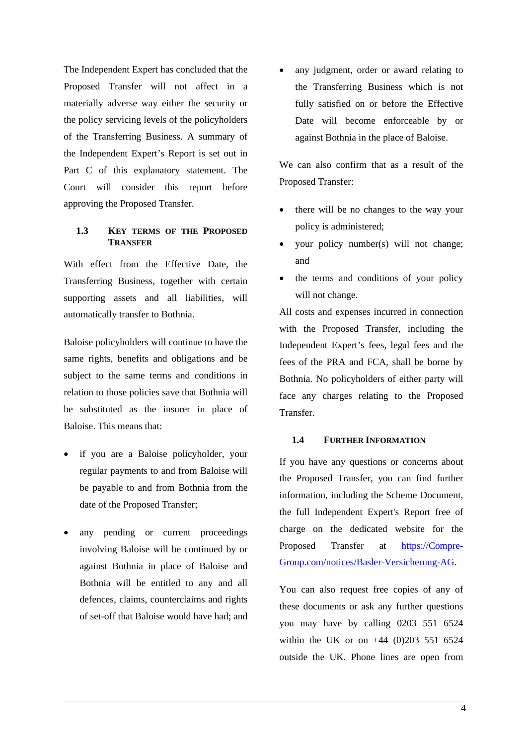The Independent Expert has concluded that the Proposed Transfer will not affect in a materially adverse way either the security or the policy servicing levels of the policyholders of the Transferring Business. A summary of the Independent Expert's Report is set out in Part C of this explanatory statement. The Court will consider this report before approving the Proposed Transfer.

## <span id="page-3-0"></span>**1.3 KEY TERMS OF THE PROPOSED TRANSFER**

With effect from the Effective Date, the Transferring Business, together with certain supporting assets and all liabilities, will automatically transfer to Bothnia.

Baloise policyholders will continue to have the same rights, benefits and obligations and be subject to the same terms and conditions in relation to those policies save that Bothnia will be substituted as the insurer in place of Baloise. This means that:

- if you are a Baloise policyholder, your regular payments to and from Baloise will be payable to and from Bothnia from the date of the Proposed Transfer;
- any pending or current proceedings involving Baloise will be continued by or against Bothnia in place of Baloise and Bothnia will be entitled to any and all defences, claims, counterclaims and rights of set-off that Baloise would have had; and

 any judgment, order or award relating to the Transferring Business which is not fully satisfied on or before the Effective Date will become enforceable by or against Bothnia in the place of Baloise.

We can also confirm that as a result of the Proposed Transfer:

- there will be no changes to the way your policy is administered;
- your policy number(s) will not change; and
- the terms and conditions of your policy will not change.

All costs and expenses incurred in connection with the Proposed Transfer, including the Independent Expert's fees, legal fees and the fees of the PRA and FCA, shall be borne by Bothnia. No policyholders of either party will face any charges relating to the Proposed Transfer.

## <span id="page-3-1"></span>**1.4 FURTHER INFORMATION**

If you have any questions or concerns about the Proposed Transfer, you can find further information, including the Scheme Document, the full Independent Expert's Report free of charge on the dedicated website for the Proposed Transfer at [https://Compre-](https://compre-group.com/notices/Basler-Versicherung-AG)[Group.com/notices/Basler-Versicherung-AG.](https://compre-group.com/notices/Basler-Versicherung-AG)

You can also request free copies of any of these documents or ask any further questions you may have by calling 0203 551 6524 within the UK or on +44 (0)203 551 6524 outside the UK. Phone lines are open from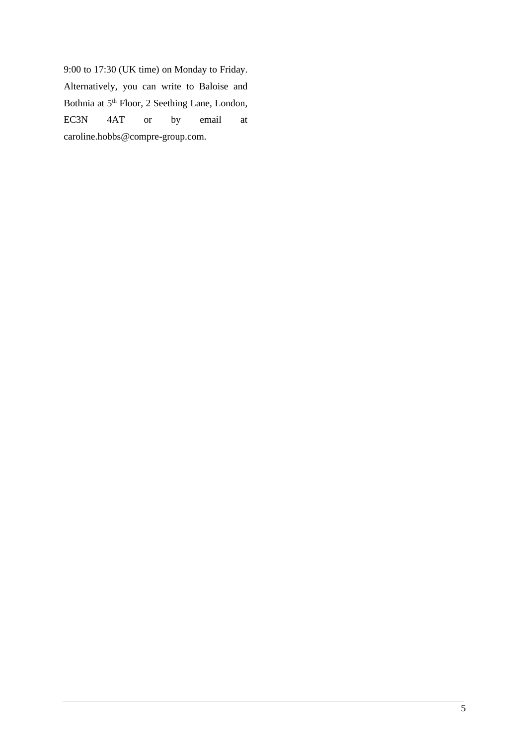9:00 to 17:30 (UK time) on Monday to Friday. Alternatively, you can write to Baloise and Bothnia at 5<sup>th</sup> Floor, 2 Seething Lane, London, EC3N 4AT or by email at caroline.hobbs@compre-group.com.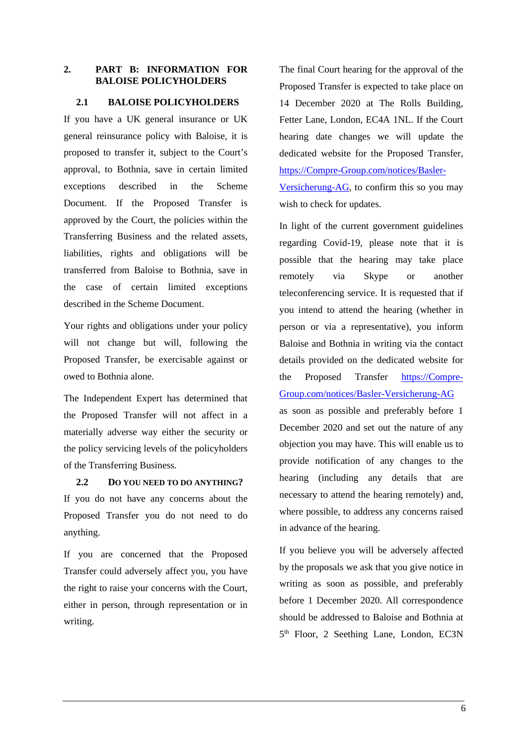## <span id="page-5-0"></span>**2. PART B: INFORMATION FOR BALOISE POLICYHOLDERS**

## <span id="page-5-1"></span>**2.1 BALOISE POLICYHOLDERS**

If you have a UK general insurance or UK general reinsurance policy with Baloise, it is proposed to transfer it, subject to the Court's approval, to Bothnia, save in certain limited exceptions described in the Scheme Document. If the Proposed Transfer is approved by the Court, the policies within the Transferring Business and the related assets, liabilities, rights and obligations will be transferred from Baloise to Bothnia, save in the case of certain limited exceptions described in the Scheme Document.

Your rights and obligations under your policy will not change but will, following the Proposed Transfer, be exercisable against or owed to Bothnia alone.

The Independent Expert has determined that the Proposed Transfer will not affect in a materially adverse way either the security or the policy servicing levels of the policyholders of the Transferring Business.

<span id="page-5-2"></span>**2.2 DO YOU NEED TO DO ANYTHING?**  If you do not have any concerns about the Proposed Transfer you do not need to do anything.

If you are concerned that the Proposed Transfer could adversely affect you, you have the right to raise your concerns with the Court, either in person, through representation or in writing.

The final Court hearing for the approval of the Proposed Transfer is expected to take place on 14 December 2020 at The Rolls Building, Fetter Lane, London, EC4A 1NL. If the Court hearing date changes we will update the dedicated website for the Proposed Transfer, [https://Compre-Group.com/notices/Basler-](https://compre-group.com/notices/Basler-Versicherung-AG)[Versicherung-AG,](https://compre-group.com/notices/Basler-Versicherung-AG) to confirm this so you may wish to check for updates.

In light of the current government guidelines regarding Covid-19, please note that it is possible that the hearing may take place remotely via Skype or another teleconferencing service. It is requested that if you intend to attend the hearing (whether in person or via a representative), you inform Baloise and Bothnia in writing via the contact details provided on the dedicated website for the Proposed Transfer [https://Compre-](https://compre-group.com/notices/Basler-Versicherung-AG)[Group.com/notices/Basler-Versicherung-AG](https://compre-group.com/notices/Basler-Versicherung-AG) as soon as possible and preferably before 1 December 2020 and set out the nature of any objection you may have. This will enable us to provide notification of any changes to the hearing (including any details that are necessary to attend the hearing remotely) and, where possible, to address any concerns raised in advance of the hearing.

If you believe you will be adversely affected by the proposals we ask that you give notice in writing as soon as possible, and preferably before 1 December 2020. All correspondence should be addressed to Baloise and Bothnia at 5<sup>th</sup> Floor, 2 Seething Lane, London, EC3N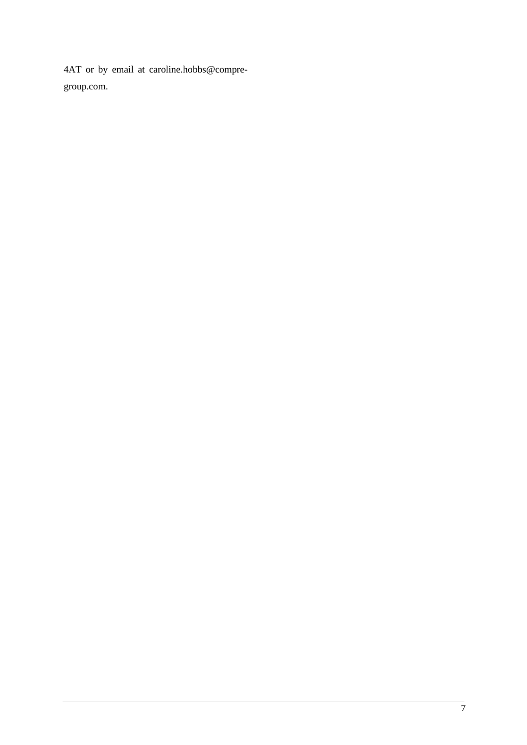4AT or by email at caroline.hobbs@compregroup.com.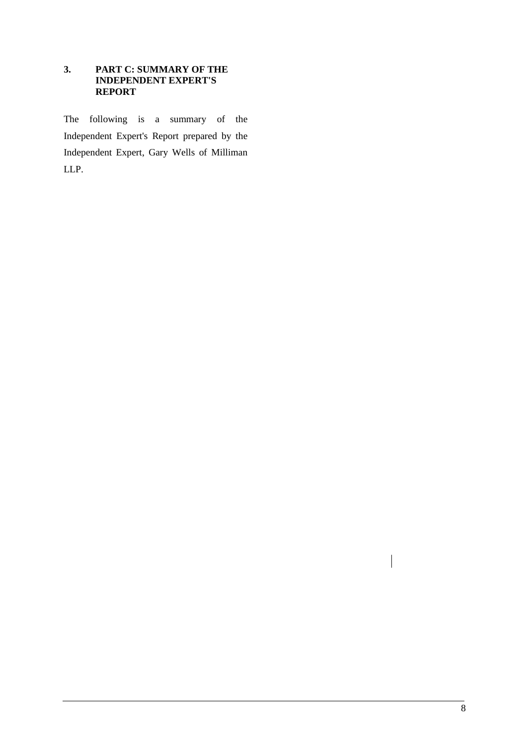## <span id="page-7-0"></span>**3. PART C: SUMMARY OF THE INDEPENDENT EXPERT'S REPORT**

The following is a summary of the Independent Expert's Report prepared by the Independent Expert, Gary Wells of Milliman LLP.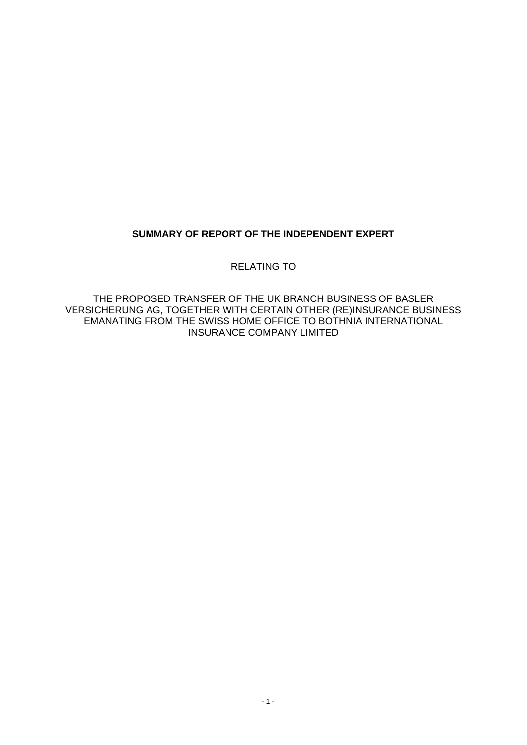## **SUMMARY OF REPORT OF THE INDEPENDENT EXPERT**

RELATING TO

THE PROPOSED TRANSFER OF THE UK BRANCH BUSINESS OF BASLER VERSICHERUNG AG, TOGETHER WITH CERTAIN OTHER (RE)INSURANCE BUSINESS EMANATING FROM THE SWISS HOME OFFICE TO BOTHNIA INTERNATIONAL INSURANCE COMPANY LIMITED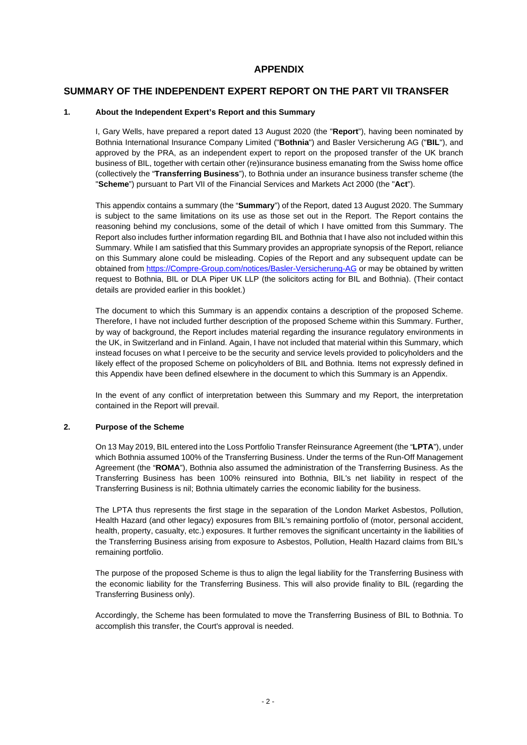## **APPENDIX**

## **SUMMARY OF THE INDEPENDENT EXPERT REPORT ON THE PART VII TRANSFER**

#### **1. About the Independent Expert's Report and this Summary**

I, Gary Wells, have prepared a report dated 13 August 2020 (the "**Report**"), having been nominated by Bothnia International Insurance Company Limited ("**Bothnia**") and Basler Versicherung AG ("**BIL**"), and approved by the PRA, as an independent expert to report on the proposed transfer of the UK branch business of BIL, together with certain other (re)insurance business emanating from the Swiss home office (collectively the "**Transferring Business**"), to Bothnia under an insurance business transfer scheme (the "**Scheme**") pursuant to Part VII of the Financial Services and Markets Act 2000 (the "**Act**").

This appendix contains a summary (the "**Summary**") of the Report, dated 13 August 2020. The Summary is subject to the same limitations on its use as those set out in the Report. The Report contains the reasoning behind my conclusions, some of the detail of which I have omitted from this Summary. The Report also includes further information regarding BIL and Bothnia that I have also not included within this Summary. While I am satisfied that this Summary provides an appropriate synopsis of the Report, reliance on this Summary alone could be misleading. Copies of the Report and any subsequent update can be obtained fro[m https://Compre-Group.com/notices/Basler-Versicherung-AG](https://compre-group.com/notices/Basler-Versicherung-AG) or may be obtained by written request to Bothnia, BIL or DLA Piper UK LLP (the solicitors acting for BIL and Bothnia). (Their contact details are provided earlier in this booklet.)

The document to which this Summary is an appendix contains a description of the proposed Scheme. Therefore, I have not included further description of the proposed Scheme within this Summary. Further, by way of background, the Report includes material regarding the insurance regulatory environments in the UK, in Switzerland and in Finland. Again, I have not included that material within this Summary, which instead focuses on what I perceive to be the security and service levels provided to policyholders and the likely effect of the proposed Scheme on policyholders of BIL and Bothnia. Items not expressly defined in this Appendix have been defined elsewhere in the document to which this Summary is an Appendix.

In the event of any conflict of interpretation between this Summary and my Report, the interpretation contained in the Report will prevail.

#### **2. Purpose of the Scheme**

On 13 May 2019, BIL entered into the Loss Portfolio Transfer Reinsurance Agreement (the "**LPTA**"), under which Bothnia assumed 100% of the Transferring Business. Under the terms of the Run-Off Management Agreement (the "**ROMA**"), Bothnia also assumed the administration of the Transferring Business. As the Transferring Business has been 100% reinsured into Bothnia, BIL's net liability in respect of the Transferring Business is nil; Bothnia ultimately carries the economic liability for the business.

The LPTA thus represents the first stage in the separation of the London Market Asbestos, Pollution, Health Hazard (and other legacy) exposures from BIL's remaining portfolio of (motor, personal accident, health, property, casualty, etc.) exposures. It further removes the significant uncertainty in the liabilities of the Transferring Business arising from exposure to Asbestos, Pollution, Health Hazard claims from BIL's remaining portfolio.

The purpose of the proposed Scheme is thus to align the legal liability for the Transferring Business with the economic liability for the Transferring Business. This will also provide finality to BIL (regarding the Transferring Business only).

Accordingly, the Scheme has been formulated to move the Transferring Business of BIL to Bothnia. To accomplish this transfer, the Court's approval is needed.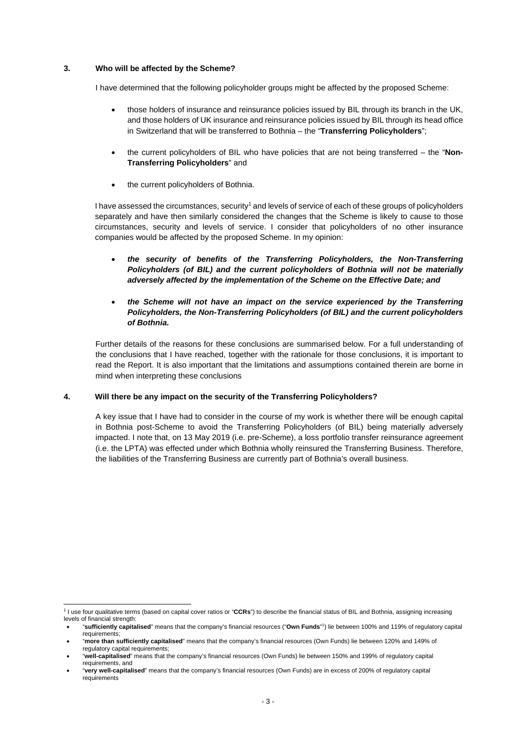#### **3. Who will be affected by the Scheme?**

I have determined that the following policyholder groups might be affected by the proposed Scheme:

- those holders of insurance and reinsurance policies issued by BIL through its branch in the UK, and those holders of UK insurance and reinsurance policies issued by BIL through its head office in Switzerland that will be transferred to Bothnia – the "**Transferring Policyholders**";
- the current policyholders of BIL who have policies that are not being transferred the "**Non-Transferring Policyholders**" and
- the current policyholders of Bothnia.

I have assessed the circumstances, security<sup>1</sup> and levels of service of each of these groups of policyholders separately and have then similarly considered the changes that the Scheme is likely to cause to those circumstances, security and levels of service. I consider that policyholders of no other insurance companies would be affected by the proposed Scheme. In my opinion:

- *the security of benefits of the Transferring Policyholders, the Non-Transferring Policyholders (of BIL) and the current policyholders of Bothnia will not be materially adversely affected by the implementation of the Scheme on the Effective Date; and*
- *the Scheme will not have an impact on the service experienced by the Transferring Policyholders, the Non-Transferring Policyholders (of BIL) and the current policyholders of Bothnia.*

Further details of the reasons for these conclusions are summarised below. For a full understanding of the conclusions that I have reached, together with the rationale for those conclusions, it is important to read the Report. It is also important that the limitations and assumptions contained therein are borne in mind when interpreting these conclusions

#### **4. Will there be any impact on the security of the Transferring Policyholders?**

A key issue that I have had to consider in the course of my work is whether there will be enough capital in Bothnia post-Scheme to avoid the Transferring Policyholders (of BIL) being materially adversely impacted. I note that, on 13 May 2019 (i.e. pre-Scheme), a loss portfolio transfer reinsurance agreement (i.e. the LPTA) was effected under which Bothnia wholly reinsured the Transferring Business. Therefore, the liabilities of the Transferring Business are currently part of Bothnia's overall business.

<sup>1</sup> I use four qualitative terms (based on capital cover ratios or "**CCRs**") to describe the financial status of BIL and Bothnia, assigning increasing levels of financial strength:

 <sup>&</sup>quot;**sufficiently capitalised**" means that the company's financial resources ("**Own Funds**" 1 ) lie between 100% and 119% of regulatory capital requirements;

 <sup>&</sup>quot;**more than sufficiently capitalised**" means that the company's financial resources (Own Funds) lie between 120% and 149% of regulatory capital requirements;

 <sup>&</sup>quot;**well-capitalised**" means that the company's financial resources (Own Funds) lie between 150% and 199% of regulatory capital requirements, and

 <sup>&</sup>quot;**very well-capitalised**" means that the company's financial resources (Own Funds) are in excess of 200% of regulatory capital requirements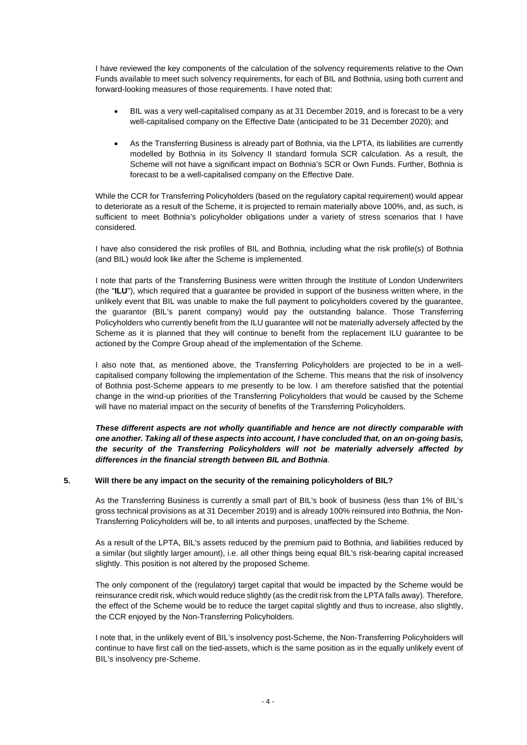I have reviewed the key components of the calculation of the solvency requirements relative to the Own Funds available to meet such solvency requirements, for each of BIL and Bothnia, using both current and forward-looking measures of those requirements. I have noted that:

- BIL was a very well-capitalised company as at 31 December 2019, and is forecast to be a very well-capitalised company on the Effective Date (anticipated to be 31 December 2020); and
- As the Transferring Business is already part of Bothnia, via the LPTA, its liabilities are currently modelled by Bothnia in its Solvency II standard formula SCR calculation. As a result, the Scheme will not have a significant impact on Bothnia's SCR or Own Funds. Further, Bothnia is forecast to be a well-capitalised company on the Effective Date.

While the CCR for Transferring Policyholders (based on the regulatory capital requirement) would appear to deteriorate as a result of the Scheme, it is projected to remain materially above 100%, and, as such, is sufficient to meet Bothnia's policyholder obligations under a variety of stress scenarios that I have considered.

I have also considered the risk profiles of BIL and Bothnia, including what the risk profile(s) of Bothnia (and BIL) would look like after the Scheme is implemented.

I note that parts of the Transferring Business were written through the Institute of London Underwriters (the "**ILU**"), which required that a guarantee be provided in support of the business written where, in the unlikely event that BIL was unable to make the full payment to policyholders covered by the guarantee, the guarantor (BIL's parent company) would pay the outstanding balance. Those Transferring Policyholders who currently benefit from the ILU guarantee will not be materially adversely affected by the Scheme as it is planned that they will continue to benefit from the replacement ILU guarantee to be actioned by the Compre Group ahead of the implementation of the Scheme.

I also note that, as mentioned above, the Transferring Policyholders are projected to be in a wellcapitalised company following the implementation of the Scheme. This means that the risk of insolvency of Bothnia post-Scheme appears to me presently to be low. I am therefore satisfied that the potential change in the wind-up priorities of the Transferring Policyholders that would be caused by the Scheme will have no material impact on the security of benefits of the Transferring Policyholders.

*These different aspects are not wholly quantifiable and hence are not directly comparable with one another. Taking all of these aspects into account, I have concluded that, on an on-going basis, the security of the Transferring Policyholders will not be materially adversely affected by differences in the financial strength between BIL and Bothnia*.

## **5. Will there be any impact on the security of the remaining policyholders of BIL?**

As the Transferring Business is currently a small part of BIL's book of business (less than 1% of BIL's gross technical provisions as at 31 December 2019) and is already 100% reinsured into Bothnia, the Non-Transferring Policyholders will be, to all intents and purposes, unaffected by the Scheme.

As a result of the LPTA, BIL's assets reduced by the premium paid to Bothnia, and liabilities reduced by a similar (but slightly larger amount), i.e. all other things being equal BIL's risk-bearing capital increased slightly. This position is not altered by the proposed Scheme.

The only component of the (regulatory) target capital that would be impacted by the Scheme would be reinsurance credit risk, which would reduce slightly (as the credit risk from the LPTA falls away). Therefore, the effect of the Scheme would be to reduce the target capital slightly and thus to increase, also slightly, the CCR enjoyed by the Non-Transferring Policyholders.

I note that, in the unlikely event of BIL's insolvency post-Scheme, the Non-Transferring Policyholders will continue to have first call on the tied-assets, which is the same position as in the equally unlikely event of BIL's insolvency pre-Scheme.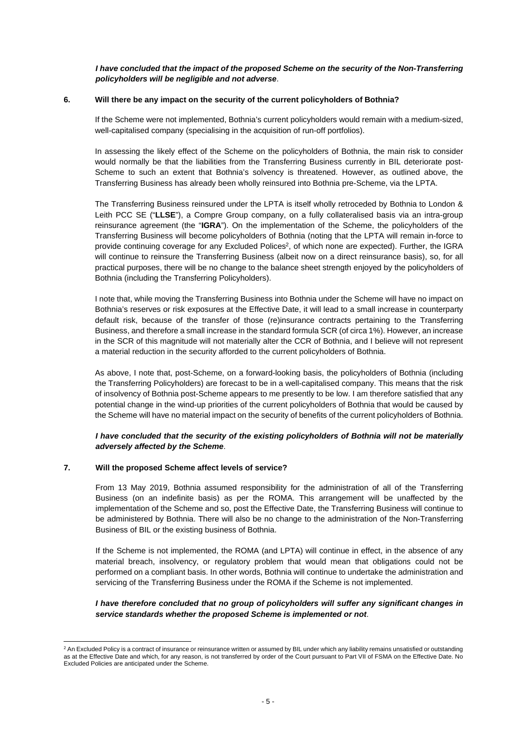#### *I have concluded that the impact of the proposed Scheme on the security of the Non-Transferring policyholders will be negligible and not adverse*.

#### **6. Will there be any impact on the security of the current policyholders of Bothnia?**

If the Scheme were not implemented, Bothnia's current policyholders would remain with a medium-sized, well-capitalised company (specialising in the acquisition of run-off portfolios).

In assessing the likely effect of the Scheme on the policyholders of Bothnia, the main risk to consider would normally be that the liabilities from the Transferring Business currently in BIL deteriorate post-Scheme to such an extent that Bothnia's solvency is threatened. However, as outlined above, the Transferring Business has already been wholly reinsured into Bothnia pre-Scheme, via the LPTA.

The Transferring Business reinsured under the LPTA is itself wholly retroceded by Bothnia to London & Leith PCC SE ("**LLSE**"), a Compre Group company, on a fully collateralised basis via an intra-group reinsurance agreement (the "**IGRA**"). On the implementation of the Scheme, the policyholders of the Transferring Business will become policyholders of Bothnia (noting that the LPTA will remain in-force to provide continuing coverage for any Excluded Polices<sup>2</sup>, of which none are expected). Further, the IGRA will continue to reinsure the Transferring Business (albeit now on a direct reinsurance basis), so, for all practical purposes, there will be no change to the balance sheet strength enjoyed by the policyholders of Bothnia (including the Transferring Policyholders).

I note that, while moving the Transferring Business into Bothnia under the Scheme will have no impact on Bothnia's reserves or risk exposures at the Effective Date, it will lead to a small increase in counterparty default risk, because of the transfer of those (re)insurance contracts pertaining to the Transferring Business, and therefore a small increase in the standard formula SCR (of circa 1%). However, an increase in the SCR of this magnitude will not materially alter the CCR of Bothnia, and I believe will not represent a material reduction in the security afforded to the current policyholders of Bothnia.

As above, I note that, post-Scheme, on a forward-looking basis, the policyholders of Bothnia (including the Transferring Policyholders) are forecast to be in a well-capitalised company. This means that the risk of insolvency of Bothnia post-Scheme appears to me presently to be low. I am therefore satisfied that any potential change in the wind-up priorities of the current policyholders of Bothnia that would be caused by the Scheme will have no material impact on the security of benefits of the current policyholders of Bothnia.

#### *I have concluded that the security of the existing policyholders of Bothnia will not be materially adversely affected by the Scheme*.

#### **7. Will the proposed Scheme affect levels of service?**

From 13 May 2019, Bothnia assumed responsibility for the administration of all of the Transferring Business (on an indefinite basis) as per the ROMA. This arrangement will be unaffected by the implementation of the Scheme and so, post the Effective Date, the Transferring Business will continue to be administered by Bothnia. There will also be no change to the administration of the Non-Transferring Business of BIL or the existing business of Bothnia.

If the Scheme is not implemented, the ROMA (and LPTA) will continue in effect, in the absence of any material breach, insolvency, or regulatory problem that would mean that obligations could not be performed on a compliant basis. In other words, Bothnia will continue to undertake the administration and servicing of the Transferring Business under the ROMA if the Scheme is not implemented.

#### *I have therefore concluded that no group of policyholders will suffer any significant changes in service standards whether the proposed Scheme is implemented or not*.

 ${}^{2}$  An Excluded Policy is a contract of insurance or reinsurance written or assumed by BIL under which any liability remains unsatisfied or outstanding as at the Effective Date and which, for any reason, is not transferred by order of the Court pursuant to Part VII of FSMA on the Effective Date. No Excluded Policies are anticipated under the Scheme.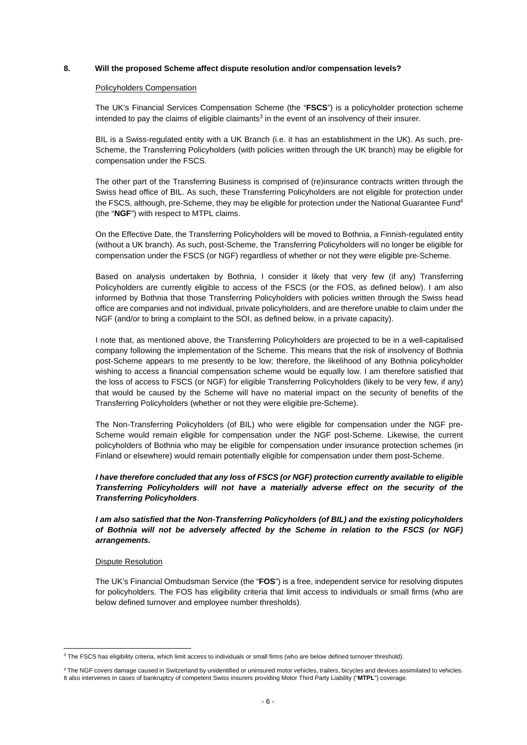#### **8. Will the proposed Scheme affect dispute resolution and/or compensation levels?**

#### Policyholders Compensation

The UK's Financial Services Compensation Scheme (the "**FSCS**") is a policyholder protection scheme intended to pay the claims of eligible claimants<sup>3</sup> in the event of an insolvency of their insurer.

BIL is a Swiss-regulated entity with a UK Branch (i.e. it has an establishment in the UK). As such, pre-Scheme, the Transferring Policyholders (with policies written through the UK branch) may be eligible for compensation under the FSCS.

The other part of the Transferring Business is comprised of (re)insurance contracts written through the Swiss head office of BIL. As such, these Transferring Policyholders are not eligible for protection under the FSCS, although, pre-Scheme, they may be eligible for protection under the National Guarantee Fund<sup>4</sup> (the "**NGF**") with respect to MTPL claims.

On the Effective Date, the Transferring Policyholders will be moved to Bothnia, a Finnish-regulated entity (without a UK branch). As such, post-Scheme, the Transferring Policyholders will no longer be eligible for compensation under the FSCS (or NGF) regardless of whether or not they were eligible pre-Scheme.

Based on analysis undertaken by Bothnia, I consider it likely that very few (if any) Transferring Policyholders are currently eligible to access of the FSCS (or the FOS, as defined below). I am also informed by Bothnia that those Transferring Policyholders with policies written through the Swiss head office are companies and not individual, private policyholders, and are therefore unable to claim under the NGF (and/or to bring a complaint to the SOI, as defined below, in a private capacity).

I note that, as mentioned above, the Transferring Policyholders are projected to be in a well-capitalised company following the implementation of the Scheme. This means that the risk of insolvency of Bothnia post-Scheme appears to me presently to be low; therefore, the likelihood of any Bothnia policyholder wishing to access a financial compensation scheme would be equally low. I am therefore satisfied that the loss of access to FSCS (or NGF) for eligible Transferring Policyholders (likely to be very few, if any) that would be caused by the Scheme will have no material impact on the security of benefits of the Transferring Policyholders (whether or not they were eligible pre-Scheme).

The Non-Transferring Policyholders (of BIL) who were eligible for compensation under the NGF pre-Scheme would remain eligible for compensation under the NGF post-Scheme. Likewise, the current policyholders of Bothnia who may be eligible for compensation under insurance protection schemes (in Finland or elsewhere) would remain potentially eligible for compensation under them post-Scheme.

*I have therefore concluded that any loss of FSCS (or NGF) protection currently available to eligible Transferring Policyholders will not have a materially adverse effect on the security of the Transferring Policyholders*.

*I am also satisfied that the Non-Transferring Policyholders (of BIL) and the existing policyholders of Bothnia will not be adversely affected by the Scheme in relation to the FSCS (or NGF) arrangements.*

#### Dispute Resolution

The UK's Financial Ombudsman Service (the "**FOS**") is a free, independent service for resolving disputes for policyholders. The FOS has eligibility criteria that limit access to individuals or small firms (who are below defined turnover and employee number thresholds).

<sup>&</sup>lt;sup>3</sup> The FSCS has eligibility criteria, which limit access to individuals or small firms (who are below defined turnover threshold).

<sup>4</sup> The NGF covers damage caused in Switzerland by unidentified or uninsured motor vehicles, trailers, bicycles and devices assimilated to vehicles. It also intervenes in cases of bankruptcy of competent Swiss insurers providing Motor Third Party Liability ("**MTPL**") coverage.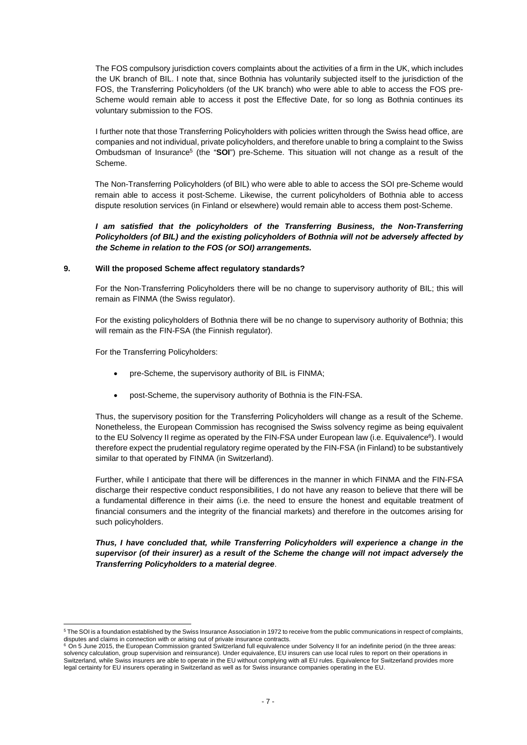The FOS compulsory jurisdiction covers complaints about the activities of a firm in the UK, which includes the UK branch of BIL. I note that, since Bothnia has voluntarily subjected itself to the jurisdiction of the FOS, the Transferring Policyholders (of the UK branch) who were able to able to access the FOS pre-Scheme would remain able to access it post the Effective Date, for so long as Bothnia continues its voluntary submission to the FOS.

I further note that those Transferring Policyholders with policies written through the Swiss head office, are companies and not individual, private policyholders, and therefore unable to bring a complaint to the Swiss Ombudsman of Insurance<sup>5</sup> (the "SOI") pre-Scheme. This situation will not change as a result of the Scheme.

The Non-Transferring Policyholders (of BIL) who were able to able to access the SOI pre-Scheme would remain able to access it post-Scheme. Likewise, the current policyholders of Bothnia able to access dispute resolution services (in Finland or elsewhere) would remain able to access them post-Scheme.

*I am satisfied that the policyholders of the Transferring Business, the Non-Transferring Policyholders (of BIL) and the existing policyholders of Bothnia will not be adversely affected by the Scheme in relation to the FOS (or SOI) arrangements.*

#### **9. Will the proposed Scheme affect regulatory standards?**

For the Non-Transferring Policyholders there will be no change to supervisory authority of BIL; this will remain as FINMA (the Swiss regulator).

For the existing policyholders of Bothnia there will be no change to supervisory authority of Bothnia; this will remain as the FIN-FSA (the Finnish regulator).

For the Transferring Policyholders:

- pre-Scheme, the supervisory authority of BIL is FINMA;
- post-Scheme, the supervisory authority of Bothnia is the FIN-FSA.

Thus, the supervisory position for the Transferring Policyholders will change as a result of the Scheme. Nonetheless, the European Commission has recognised the Swiss solvency regime as being equivalent to the EU Solvency II regime as operated by the FIN-FSA under European law (i.e. Equivalence<sup>6</sup>). I would therefore expect the prudential regulatory regime operated by the FIN-FSA (in Finland) to be substantively similar to that operated by FINMA (in Switzerland).

Further, while I anticipate that there will be differences in the manner in which FINMA and the FIN-FSA discharge their respective conduct responsibilities, I do not have any reason to believe that there will be a fundamental difference in their aims (i.e. the need to ensure the honest and equitable treatment of financial consumers and the integrity of the financial markets) and therefore in the outcomes arising for such policyholders.

*Thus, I have concluded that, while Transferring Policyholders will experience a change in the supervisor (of their insurer) as a result of the Scheme the change will not impact adversely the Transferring Policyholders to a material degree*.

<sup>&</sup>lt;sup>5</sup> The SOI is a foundation established by the Swiss Insurance Association in 1972 to receive from the public communications in respect of complaints, disputes and claims in connection with or arising out of private insurance contracts.<br><sup>6</sup> On 5 June 2015, the European Commission granted Switzerland full equivalence under Solvency II for an indefinite period (in the thre

solvency calculation, group supervision and reinsurance). Under equivalence, EU insurers can use local rules to report on their operations in Switzerland, while Swiss insurers are able to operate in the EU without complying with all EU rules. Equivalence for Switzerland provides more legal certainty for EU insurers operating in Switzerland as well as for Swiss insurance companies operating in the EU.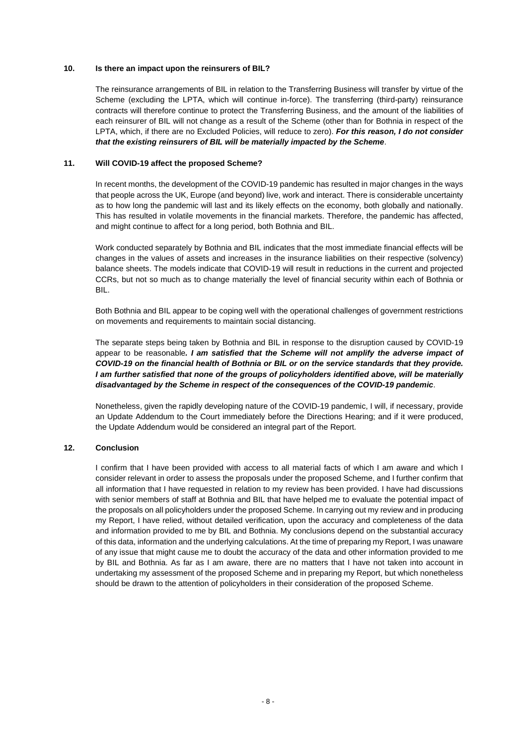#### **10. Is there an impact upon the reinsurers of BIL?**

The reinsurance arrangements of BIL in relation to the Transferring Business will transfer by virtue of the Scheme (excluding the LPTA, which will continue in-force). The transferring (third-party) reinsurance contracts will therefore continue to protect the Transferring Business, and the amount of the liabilities of each reinsurer of BIL will not change as a result of the Scheme (other than for Bothnia in respect of the LPTA, which, if there are no Excluded Policies, will reduce to zero). *For this reason, I do not consider that the existing reinsurers of BIL will be materially impacted by the Scheme*.

#### **11. Will COVID-19 affect the proposed Scheme?**

In recent months, the development of the COVID-19 pandemic has resulted in major changes in the ways that people across the UK, Europe (and beyond) live, work and interact. There is considerable uncertainty as to how long the pandemic will last and its likely effects on the economy, both globally and nationally. This has resulted in volatile movements in the financial markets. Therefore, the pandemic has affected, and might continue to affect for a long period, both Bothnia and BIL.

Work conducted separately by Bothnia and BIL indicates that the most immediate financial effects will be changes in the values of assets and increases in the insurance liabilities on their respective (solvency) balance sheets. The models indicate that COVID-19 will result in reductions in the current and projected CCRs, but not so much as to change materially the level of financial security within each of Bothnia or BIL.

Both Bothnia and BIL appear to be coping well with the operational challenges of government restrictions on movements and requirements to maintain social distancing.

The separate steps being taken by Bothnia and BIL in response to the disruption caused by COVID-19 appear to be reasonable*. I am satisfied that the Scheme will not amplify the adverse impact of COVID-19 on the financial health of Bothnia or BIL or on the service standards that they provide. I am further satisfied that none of the groups of policyholders identified above, will be materially disadvantaged by the Scheme in respect of the consequences of the COVID-19 pandemic*.

Nonetheless, given the rapidly developing nature of the COVID-19 pandemic, I will, if necessary, provide an Update Addendum to the Court immediately before the Directions Hearing; and if it were produced, the Update Addendum would be considered an integral part of the Report.

#### **12. Conclusion**

I confirm that I have been provided with access to all material facts of which I am aware and which I consider relevant in order to assess the proposals under the proposed Scheme, and I further confirm that all information that I have requested in relation to my review has been provided. I have had discussions with senior members of staff at Bothnia and BIL that have helped me to evaluate the potential impact of the proposals on all policyholders under the proposed Scheme. In carrying out my review and in producing my Report, I have relied, without detailed verification, upon the accuracy and completeness of the data and information provided to me by BIL and Bothnia. My conclusions depend on the substantial accuracy of this data, information and the underlying calculations. At the time of preparing my Report, I was unaware of any issue that might cause me to doubt the accuracy of the data and other information provided to me by BIL and Bothnia. As far as I am aware, there are no matters that I have not taken into account in undertaking my assessment of the proposed Scheme and in preparing my Report, but which nonetheless should be drawn to the attention of policyholders in their consideration of the proposed Scheme.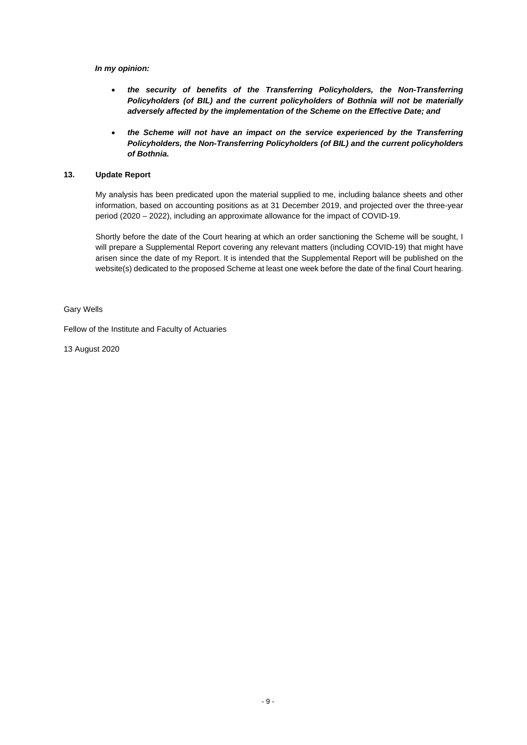*In my opinion:* 

- *the security of benefits of the Transferring Policyholders, the Non-Transferring Policyholders (of BIL) and the current policyholders of Bothnia will not be materially adversely affected by the implementation of the Scheme on the Effective Date; and*
- *the Scheme will not have an impact on the service experienced by the Transferring Policyholders, the Non-Transferring Policyholders (of BIL) and the current policyholders of Bothnia.*

#### **13. Update Report**

My analysis has been predicated upon the material supplied to me, including balance sheets and other information, based on accounting positions as at 31 December 2019, and projected over the three-year period (2020 – 2022), including an approximate allowance for the impact of COVID-19.

Shortly before the date of the Court hearing at which an order sanctioning the Scheme will be sought, I will prepare a Supplemental Report covering any relevant matters (including COVID-19) that might have arisen since the date of my Report. It is intended that the Supplemental Report will be published on the website(s) dedicated to the proposed Scheme at least one week before the date of the final Court hearing.

Gary Wells

Fellow of the Institute and Faculty of Actuaries

13 August 2020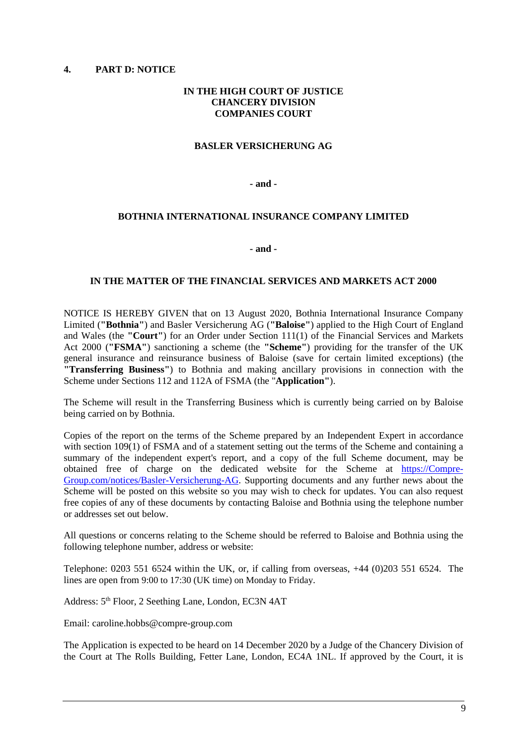## <span id="page-17-0"></span>**4. PART D: NOTICE**

## **IN THE HIGH COURT OF JUSTICE CHANCERY DIVISION COMPANIES COURT**

## **BASLER VERSICHERUNG AG**

**- and -** 

## **BOTHNIA INTERNATIONAL INSURANCE COMPANY LIMITED**

**- and -** 

## **IN THE MATTER OF THE FINANCIAL SERVICES AND MARKETS ACT 2000**

NOTICE IS HEREBY GIVEN that on 13 August 2020, Bothnia International Insurance Company Limited (**"Bothnia"**) and Basler Versicherung AG (**"Baloise"**) applied to the High Court of England and Wales (the **"Court"**) for an Order under Section 111(1) of the Financial Services and Markets Act 2000 (**"FSMA"**) sanctioning a scheme (the **"Scheme"**) providing for the transfer of the UK general insurance and reinsurance business of Baloise (save for certain limited exceptions) (the **"Transferring Business"**) to Bothnia and making ancillary provisions in connection with the Scheme under Sections 112 and 112A of FSMA (the "**Application"**).

The Scheme will result in the Transferring Business which is currently being carried on by Baloise being carried on by Bothnia.

Copies of the report on the terms of the Scheme prepared by an Independent Expert in accordance with section 109(1) of FSMA and of a statement setting out the terms of the Scheme and containing a summary of the independent expert's report, and a copy of the full Scheme document, may be obtained free of charge on the dedicated website for the Scheme at [https://Compre-](https://compre-group.com/notices/Basler-Versicherung-AG)[Group.com/notices/Basler-Versicherung-AG.](https://compre-group.com/notices/Basler-Versicherung-AG) Supporting documents and any further news about the Scheme will be posted on this website so you may wish to check for updates. You can also request free copies of any of these documents by contacting Baloise and Bothnia using the telephone number or addresses set out below.

All questions or concerns relating to the Scheme should be referred to Baloise and Bothnia using the following telephone number, address or website:

Telephone: 0203 551 6524 within the UK, or, if calling from overseas, +44 (0)203 551 6524. The lines are open from 9:00 to 17:30 (UK time) on Monday to Friday.

Address:  $5<sup>th</sup>$  Floor, 2 Seething Lane, London, EC3N 4AT

Email: caroline.hobbs@compre-group.com

The Application is expected to be heard on 14 December 2020 by a Judge of the Chancery Division of the Court at The Rolls Building, Fetter Lane, London, EC4A 1NL. If approved by the Court, it is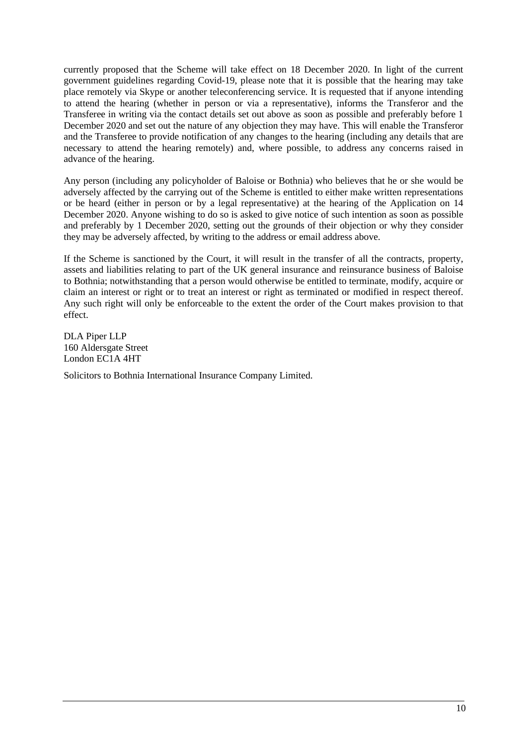currently proposed that the Scheme will take effect on 18 December 2020. In light of the current government guidelines regarding Covid-19, please note that it is possible that the hearing may take place remotely via Skype or another teleconferencing service. It is requested that if anyone intending to attend the hearing (whether in person or via a representative), informs the Transferor and the Transferee in writing via the contact details set out above as soon as possible and preferably before 1 December 2020 and set out the nature of any objection they may have. This will enable the Transferor and the Transferee to provide notification of any changes to the hearing (including any details that are necessary to attend the hearing remotely) and, where possible, to address any concerns raised in advance of the hearing.

Any person (including any policyholder of Baloise or Bothnia) who believes that he or she would be adversely affected by the carrying out of the Scheme is entitled to either make written representations or be heard (either in person or by a legal representative) at the hearing of the Application on 14 December 2020. Anyone wishing to do so is asked to give notice of such intention as soon as possible and preferably by 1 December 2020, setting out the grounds of their objection or why they consider they may be adversely affected, by writing to the address or email address above.

If the Scheme is sanctioned by the Court, it will result in the transfer of all the contracts, property, assets and liabilities relating to part of the UK general insurance and reinsurance business of Baloise to Bothnia; notwithstanding that a person would otherwise be entitled to terminate, modify, acquire or claim an interest or right or to treat an interest or right as terminated or modified in respect thereof. Any such right will only be enforceable to the extent the order of the Court makes provision to that effect.

DLA Piper LLP 160 Aldersgate Street London EC1A 4HT

Solicitors to Bothnia International Insurance Company Limited.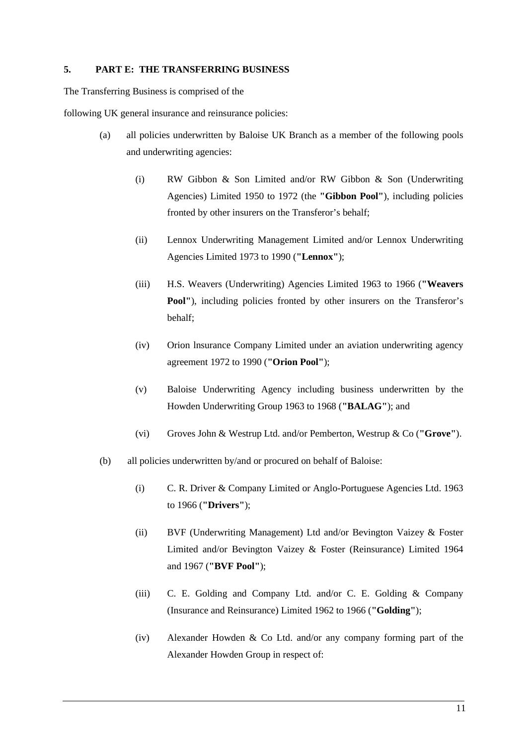## <span id="page-19-0"></span>**5. PART E: THE TRANSFERRING BUSINESS**

The Transferring Business is comprised of the

following UK general insurance and reinsurance policies:

- (a) all policies underwritten by Baloise UK Branch as a member of the following pools and underwriting agencies:
	- (i) RW Gibbon & Son Limited and/or RW Gibbon & Son (Underwriting Agencies) Limited 1950 to 1972 (the **"Gibbon Pool"**), including policies fronted by other insurers on the Transferor's behalf;
	- (ii) Lennox Underwriting Management Limited and/or Lennox Underwriting Agencies Limited 1973 to 1990 (**"Lennox"**);
	- (iii) H.S. Weavers (Underwriting) Agencies Limited 1963 to 1966 (**"Weavers**  Pool"), including policies fronted by other insurers on the Transferor's behalf;
	- (iv) Orion lnsurance Company Limited under an aviation underwriting agency agreement 1972 to 1990 (**"Orion Pool"**);
	- (v) Baloise Underwriting Agency including business underwritten by the Howden Underwriting Group 1963 to 1968 (**"BALAG"**); and
	- (vi) Groves John & Westrup Ltd. and/or Pemberton, Westrup & Co (**"Grove"**).
- (b) all policies underwritten by/and or procured on behalf of Baloise:
	- (i) C. R. Driver & Company Limited or Anglo-Portuguese Agencies Ltd. 1963 to 1966 (**"Drivers"**);
	- (ii) BVF (Underwriting Management) Ltd and/or Bevington Vaizey & Foster Limited and/or Bevington Vaizey & Foster (Reinsurance) Limited 1964 and 1967 (**"BVF Pool"**);
	- (iii) C. E. Golding and Company Ltd. and/or C. E. Golding & Company (Insurance and Reinsurance) Limited 1962 to 1966 (**"Golding"**);
	- (iv) Alexander Howden & Co Ltd. and/or any company forming part of the Alexander Howden Group in respect of: